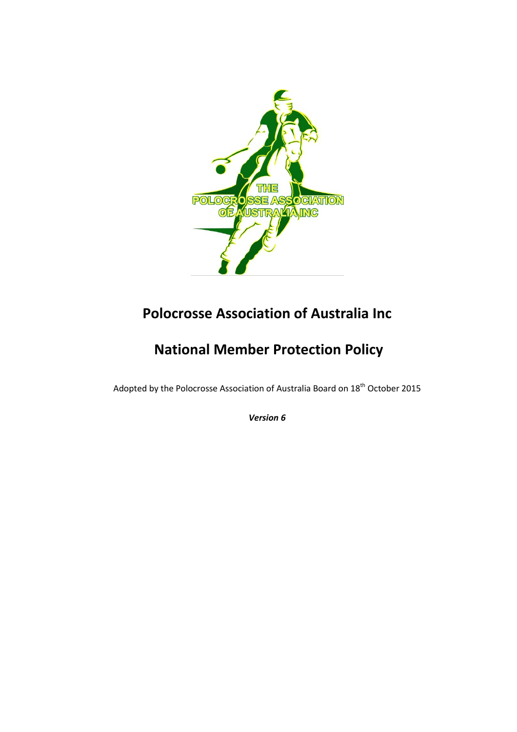

# **Polocrosse Association of Australia Inc**

# **National Member Protection Policy**

Adopted by the Polocrosse Association of Australia Board on 18<sup>th</sup> October 2015

*Version 6*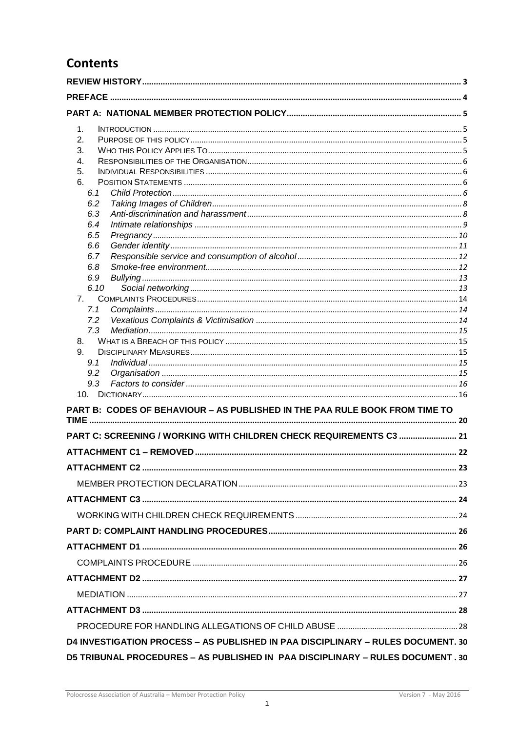# **Contents**

| 1.                                                                               |  |  |
|----------------------------------------------------------------------------------|--|--|
| 2.                                                                               |  |  |
| 3.                                                                               |  |  |
| 4.                                                                               |  |  |
| 5.                                                                               |  |  |
| 6.                                                                               |  |  |
| 6.1                                                                              |  |  |
| 6.2                                                                              |  |  |
| 6.3                                                                              |  |  |
| 6.4                                                                              |  |  |
| 6.5                                                                              |  |  |
| 6.6                                                                              |  |  |
| 6.7                                                                              |  |  |
| 6.8                                                                              |  |  |
| 6.9                                                                              |  |  |
| 6.10                                                                             |  |  |
| 7.                                                                               |  |  |
| 7.1                                                                              |  |  |
| 7.2                                                                              |  |  |
| 7.3                                                                              |  |  |
| 8.<br>9.                                                                         |  |  |
| 9.1                                                                              |  |  |
| 9.2                                                                              |  |  |
| 9.3                                                                              |  |  |
|                                                                                  |  |  |
|                                                                                  |  |  |
| PART B: CODES OF BEHAVIOUR - AS PUBLISHED IN THE PAA RULE BOOK FROM TIME TO      |  |  |
| PART C: SCREENING / WORKING WITH CHILDREN CHECK REQUIREMENTS C3  21              |  |  |
|                                                                                  |  |  |
|                                                                                  |  |  |
|                                                                                  |  |  |
|                                                                                  |  |  |
|                                                                                  |  |  |
|                                                                                  |  |  |
|                                                                                  |  |  |
|                                                                                  |  |  |
|                                                                                  |  |  |
|                                                                                  |  |  |
|                                                                                  |  |  |
|                                                                                  |  |  |
|                                                                                  |  |  |
| D4 INVESTIGATION PROCESS - AS PUBLISHED IN PAA DISCIPLINARY - RULES DOCUMENT. 30 |  |  |
| D5 TRIBUNAL PROCEDURES - AS PUBLISHED IN PAA DISCIPLINARY - RULES DOCUMENT. 30   |  |  |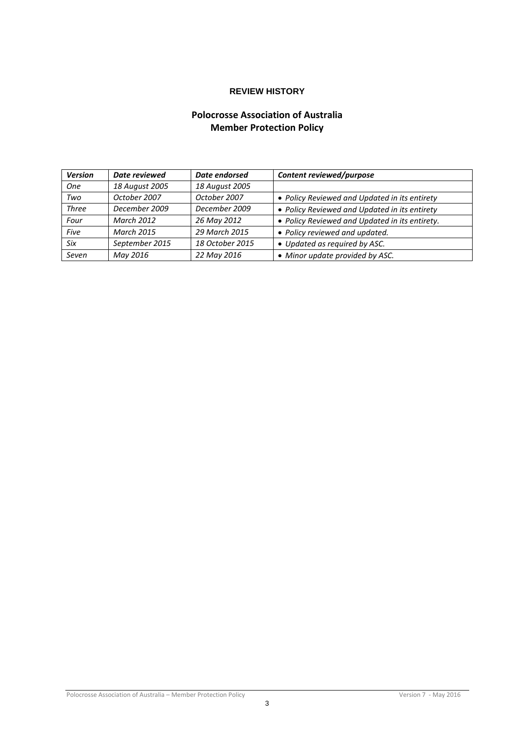# **REVIEW HISTORY**

# **Polocrosse Association of Australia Member Protection Policy**

<span id="page-3-0"></span>

| <b>Version</b> | Date reviewed     | Date endorsed   | Content reviewed/purpose                       |
|----------------|-------------------|-----------------|------------------------------------------------|
| <b>One</b>     | 18 August 2005    | 18 August 2005  |                                                |
| Two            | October 2007      | October 2007    | • Policy Reviewed and Updated in its entirety  |
| <b>Three</b>   | December 2009     | December 2009   | • Policy Reviewed and Updated in its entirety  |
| Four           | <b>March 2012</b> | 26 May 2012     | • Policy Reviewed and Updated in its entirety. |
| Five           | <b>March 2015</b> | 29 March 2015   | • Policy reviewed and updated.                 |
| Six            | September 2015    | 18 October 2015 | • Updated as required by ASC.                  |
| Seven          | May 2016          | 22 May 2016     | • Minor update provided by ASC.                |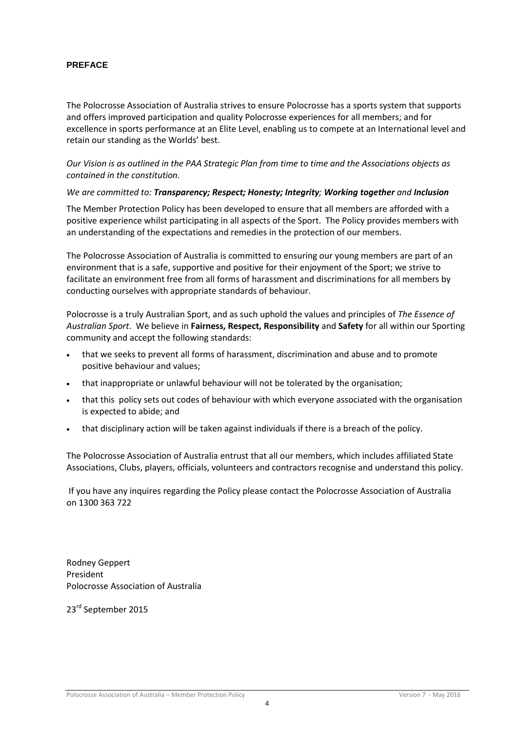### <span id="page-4-0"></span>**PREFACE**

The Polocrosse Association of Australia strives to ensure Polocrosse has a sports system that supports and offers improved participation and quality Polocrosse experiences for all members; and for excellence in sports performance at an Elite Level, enabling us to compete at an International level and retain our standing as the Worlds' best.

### *Our Vision is as outlined in the PAA Strategic Plan from time to time and the Associations objects as contained in the constitution.*

### *We are committed to: Transparency; Respect; Honesty; Integrity; Working together and Inclusion*

The Member Protection Policy has been developed to ensure that all members are afforded with a positive experience whilst participating in all aspects of the Sport. The Policy provides members with an understanding of the expectations and remedies in the protection of our members.

The Polocrosse Association of Australia is committed to ensuring our young members are part of an environment that is a safe, supportive and positive for their enjoyment of the Sport; we strive to facilitate an environment free from all forms of harassment and discriminations for all members by conducting ourselves with appropriate standards of behaviour.

Polocrosse is a truly Australian Sport, and as such uphold the values and principles of *The Essence of Australian Sport*. We believe in **Fairness, Respect, Responsibility** and **Safety** for all within our Sporting community and accept the following standards:

- that we seeks to prevent all forms of harassment, discrimination and abuse and to promote positive behaviour and values;
- that inappropriate or unlawful behaviour will not be tolerated by the organisation;
- that this policy sets out codes of behaviour with which everyone associated with the organisation is expected to abide; and
- that disciplinary action will be taken against individuals if there is a breach of the policy.

The Polocrosse Association of Australia entrust that all our members, which includes affiliated State Associations, Clubs, players, officials, volunteers and contractors recognise and understand this policy.

If you have any inquires regarding the Policy please contact the Polocrosse Association of Australia on 1300 363 722

Rodney Geppert President Polocrosse Association of Australia

23<sup>rd</sup> September 2015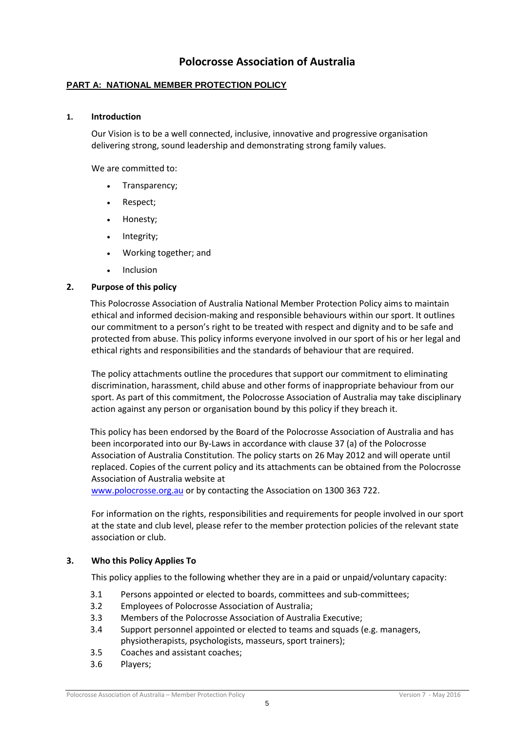# **Polocrosse Association of Australia**

### <span id="page-5-0"></span>**PART A: NATIONAL MEMBER PROTECTION POLICY**

### <span id="page-5-1"></span>**1. Introduction**

Our Vision is to be a well connected, inclusive, innovative and progressive organisation delivering strong, sound leadership and demonstrating strong family values.

We are committed to:

- Transparency;
- Respect;
- Honesty;
- Integrity;
- Working together; and
- Inclusion

### <span id="page-5-2"></span>**2. Purpose of this policy**

This Polocrosse Association of Australia National Member Protection Policy aims to maintain ethical and informed decision-making and responsible behaviours within our sport. It outlines our commitment to a person's right to be treated with respect and dignity and to be safe and protected from abuse. This policy informs everyone involved in our sport of his or her legal and ethical rights and responsibilities and the standards of behaviour that are required.

The policy attachments outline the procedures that support our commitment to eliminating discrimination, harassment, child abuse and other forms of inappropriate behaviour from our sport. As part of this commitment, the Polocrosse Association of Australia may take disciplinary action against any person or organisation bound by this policy if they breach it.

This policy has been endorsed by the Board of the Polocrosse Association of Australia and has been incorporated into our By-Laws in accordance with clause 37 (a) of the Polocrosse Association of Australia Constitution*.* The policy starts on 26 May 2012 and will operate until replaced. Copies of the current policy and its attachments can be obtained from the Polocrosse Association of Australia website at

[www.polocrosse.org.au](http://www.polocrosse.org.au/) or by contacting the Association on 1300 363 722.

For information on the rights, responsibilities and requirements for people involved in our sport at the state and club level, please refer to the member protection policies of the relevant state association or club.

### <span id="page-5-3"></span>**3. Who this Policy Applies To**

This policy applies to the following whether they are in a paid or unpaid/voluntary capacity:

- 3.1 Persons appointed or elected to boards, committees and sub-committees;
- 3.2 Employees of Polocrosse Association of Australia;
- 3.3 Members of the Polocrosse Association of Australia Executive;
- 3.4 Support personnel appointed or elected to teams and squads (e.g. managers, physiotherapists, psychologists, masseurs, sport trainers);
- 3.5 Coaches and assistant coaches;
- 3.6 Players;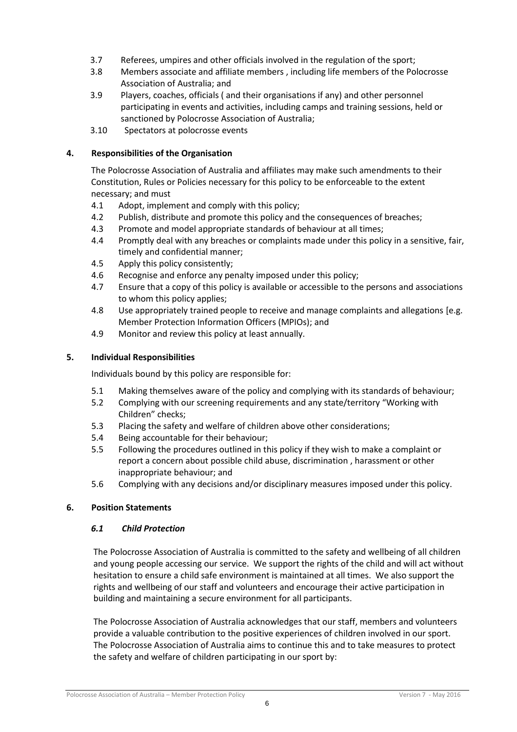- 3.7 Referees, umpires and other officials involved in the regulation of the sport;
- 3.8 Members associate and affiliate members , including life members of the Polocrosse Association of Australia; and
- 3.9 Players, coaches, officials ( and their organisations if any) and other personnel participating in events and activities, including camps and training sessions, held or sanctioned by Polocrosse Association of Australia;
- 3.10 Spectators at polocrosse events

# <span id="page-6-0"></span>**4. Responsibilities of the Organisation**

The Polocrosse Association of Australia and affiliates may make such amendments to their Constitution, Rules or Policies necessary for this policy to be enforceable to the extent necessary; and must

- 4.1 Adopt, implement and comply with this policy;
- 4.2 Publish, distribute and promote this policy and the consequences of breaches;
- 4.3 Promote and model appropriate standards of behaviour at all times;
- 4.4 Promptly deal with any breaches or complaints made under this policy in a sensitive, fair, timely and confidential manner;
- 4.5 Apply this policy consistently;
- 4.6 Recognise and enforce any penalty imposed under this policy;
- 4.7 Ensure that a copy of this policy is available or accessible to the persons and associations to whom this policy applies;
- 4.8 Use appropriately trained people to receive and manage complaints and allegations [e.g. Member Protection Information Officers (MPIOs); and
- 4.9 Monitor and review this policy at least annually.

# <span id="page-6-1"></span>**5. Individual Responsibilities**

Individuals bound by this policy are responsible for:

- 5.1 Making themselves aware of the policy and complying with its standards of behaviour;
- 5.2 Complying with our screening requirements and any state/territory "Working with Children" checks;
- 5.3 Placing the safety and welfare of children above other considerations;
- 5.4 Being accountable for their behaviour;
- 5.5 Following the procedures outlined in this policy if they wish to make a complaint or report a concern about possible child abuse, discrimination , harassment or other inappropriate behaviour; and
- 5.6 Complying with any decisions and/or disciplinary measures imposed under this policy.

# <span id="page-6-3"></span><span id="page-6-2"></span>**6. Position Statements**

# *6.1 Child Protection*

The Polocrosse Association of Australia is committed to the safety and wellbeing of all children and young people accessing our service. We support the rights of the child and will act without hesitation to ensure a child safe environment is maintained at all times. We also support the rights and wellbeing of our staff and volunteers and encourage their active participation in building and maintaining a secure environment for all participants.

The Polocrosse Association of Australia acknowledges that our staff, members and volunteers provide a valuable contribution to the positive experiences of children involved in our sport. The Polocrosse Association of Australia aims to continue this and to take measures to protect the safety and welfare of children participating in our sport by: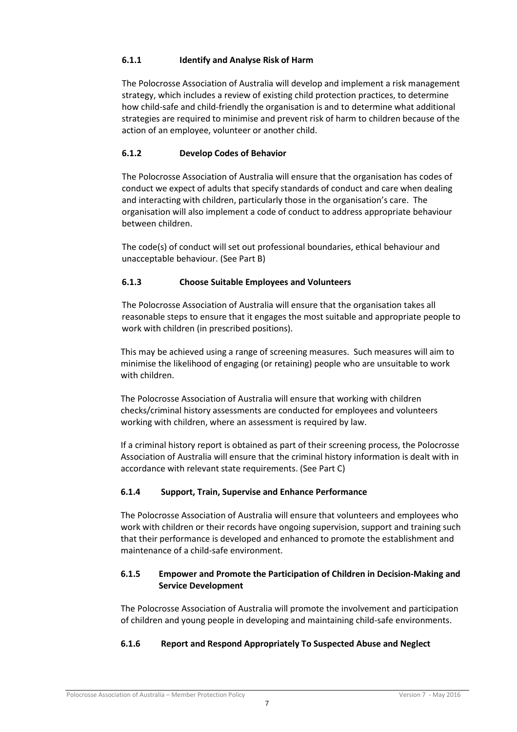# **6.1.1 Identify and Analyse Risk of Harm**

The Polocrosse Association of Australia will develop and implement a risk management strategy, which includes a review of existing child protection practices, to determine how child-safe and child-friendly the organisation is and to determine what additional strategies are required to minimise and prevent risk of harm to children because of the action of an employee, volunteer or another child.

# **6.1.2 Develop Codes of Behavior**

The Polocrosse Association of Australia will ensure that the organisation has codes of conduct we expect of adults that specify standards of conduct and care when dealing and interacting with children, particularly those in the organisation's care. The organisation will also implement a code of conduct to address appropriate behaviour between children.

The code(s) of conduct will set out professional boundaries, ethical behaviour and unacceptable behaviour. (See Part B)

# **6.1.3 Choose Suitable Employees and Volunteers**

The Polocrosse Association of Australia will ensure that the organisation takes all reasonable steps to ensure that it engages the most suitable and appropriate people to work with children (in prescribed positions).

This may be achieved using a range of screening measures. Such measures will aim to minimise the likelihood of engaging (or retaining) people who are unsuitable to work with children.

The Polocrosse Association of Australia will ensure that working with children checks/criminal history assessments are conducted for employees and volunteers working with children, where an assessment is required by law.

If a criminal history report is obtained as part of their screening process, the Polocrosse Association of Australia will ensure that the criminal history information is dealt with in accordance with relevant state requirements. (See Part C)

# **6.1.4 Support, Train, Supervise and Enhance Performance**

The Polocrosse Association of Australia will ensure that volunteers and employees who work with children or their records have ongoing supervision, support and training such that their performance is developed and enhanced to promote the establishment and maintenance of a child-safe environment.

# **6.1.5 Empower and Promote the Participation of Children in Decision-Making and Service Development**

The Polocrosse Association of Australia will promote the involvement and participation of children and young people in developing and maintaining child-safe environments.

# **6.1.6 Report and Respond Appropriately To Suspected Abuse and Neglect**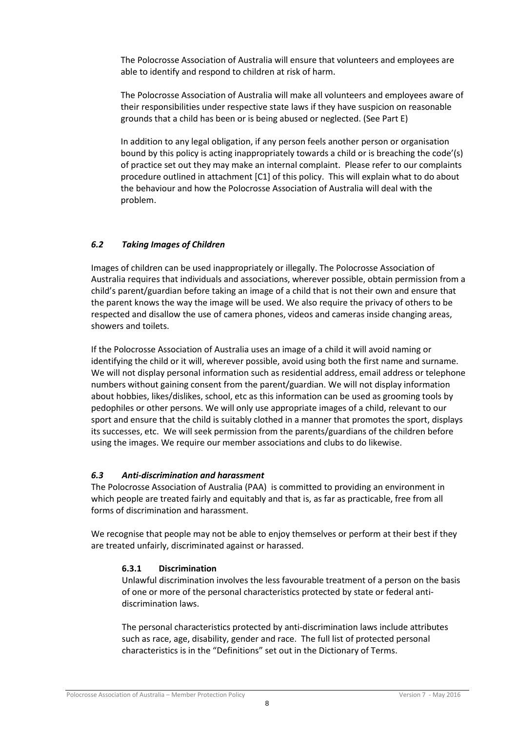The Polocrosse Association of Australia will ensure that volunteers and employees are able to identify and respond to children at risk of harm.

The Polocrosse Association of Australia will make all volunteers and employees aware of their responsibilities under respective state laws if they have suspicion on reasonable grounds that a child has been or is being abused or neglected. (See Part E)

In addition to any legal obligation, if any person feels another person or organisation bound by this policy is acting inappropriately towards a child or is breaching the code'(s) of practice set out they may make an internal complaint. Please refer to our complaints procedure outlined in attachment [C1] of this policy. This will explain what to do about the behaviour and how the Polocrosse Association of Australia will deal with the problem.

# <span id="page-8-0"></span>*6.2 Taking Images of Children*

Images of children can be used inappropriately or illegally. The Polocrosse Association of Australia requires that individuals and associations, wherever possible, obtain permission from a child's parent/guardian before taking an image of a child that is not their own and ensure that the parent knows the way the image will be used. We also require the privacy of others to be respected and disallow the use of camera phones, videos and cameras inside changing areas, showers and toilets.

If the Polocrosse Association of Australia uses an image of a child it will avoid naming or identifying the child or it will, wherever possible, avoid using both the first name and surname. We will not display personal information such as residential address, email address or telephone numbers without gaining consent from the parent/guardian. We will not display information about hobbies, likes/dislikes, school, etc as this information can be used as grooming tools by pedophiles or other persons. We will only use appropriate images of a child, relevant to our sport and ensure that the child is suitably clothed in a manner that promotes the sport, displays its successes, etc. We will seek permission from the parents/guardians of the children before using the images. We require our member associations and clubs to do likewise.

# <span id="page-8-1"></span>*6.3 Anti-discrimination and harassment*

The Polocrosse Association of Australia (PAA) is committed to providing an environment in which people are treated fairly and equitably and that is, as far as practicable, free from all forms of discrimination and harassment.

We recognise that people may not be able to enjoy themselves or perform at their best if they are treated unfairly, discriminated against or harassed.

# **6.3.1 Discrimination**

Unlawful discrimination involves the less favourable treatment of a person on the basis of one or more of the personal characteristics protected by state or federal antidiscrimination laws.

The personal characteristics protected by anti-discrimination laws include attributes such as race, age, disability, gender and race. The full list of protected personal characteristics is in the "Definitions" set out in the Dictionary of Terms.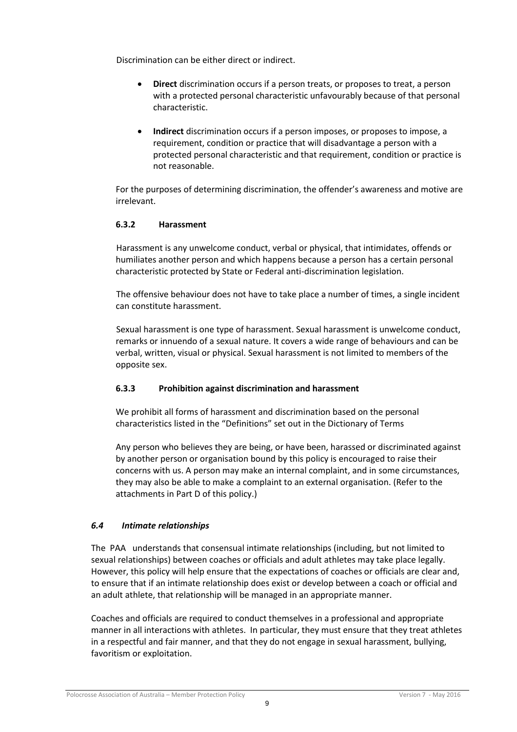Discrimination can be either direct or indirect.

- **Direct** discrimination occurs if a person treats, or proposes to treat, a person with a protected personal characteristic unfavourably because of that personal characteristic.
- **Indirect** discrimination occurs if a person imposes, or proposes to impose, a requirement, condition or practice that will disadvantage a person with a protected personal characteristic and that requirement, condition or practice is not reasonable.

For the purposes of determining discrimination, the offender's awareness and motive are irrelevant.

# **6.3.2 Harassment**

Harassment is any unwelcome conduct, verbal or physical, that intimidates, offends or humiliates another person and which happens because a person has a certain personal characteristic protected by State or Federal anti-discrimination legislation.

The offensive behaviour does not have to take place a number of times, a single incident can constitute harassment.

Sexual harassment is one type of harassment. Sexual harassment is unwelcome conduct, remarks or innuendo of a sexual nature. It covers a wide range of behaviours and can be verbal, written, visual or physical. Sexual harassment is not limited to members of the opposite sex.

# **6.3.3 Prohibition against discrimination and harassment**

We prohibit all forms of harassment and discrimination based on the personal characteristics listed in the "Definitions" set out in the Dictionary of Terms

Any person who believes they are being, or have been, harassed or discriminated against by another person or organisation bound by this policy is encouraged to raise their concerns with us. A person may make an internal complaint, and in some circumstances, they may also be able to make a complaint to an external organisation. (Refer to the attachments in Part D of this policy.)

# <span id="page-9-0"></span>*6.4 Intimate relationships*

The PAA understands that consensual intimate relationships (including, but not limited to sexual relationships) between coaches or officials and adult athletes may take place legally. However, this policy will help ensure that the expectations of coaches or officials are clear and, to ensure that if an intimate relationship does exist or develop between a coach or official and an adult athlete, that relationship will be managed in an appropriate manner.

Coaches and officials are required to conduct themselves in a professional and appropriate manner in all interactions with athletes. In particular, they must ensure that they treat athletes in a respectful and fair manner, and that they do not engage in sexual harassment, bullying, favoritism or exploitation.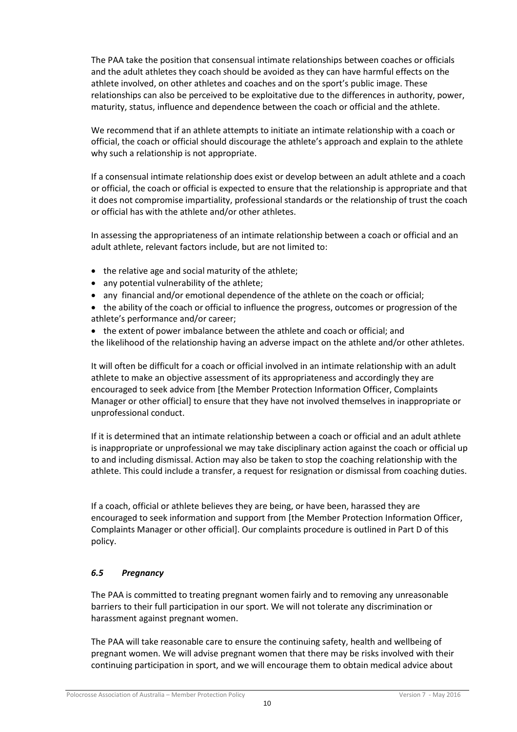The PAA take the position that consensual intimate relationships between coaches or officials and the adult athletes they coach should be avoided as they can have harmful effects on the athlete involved, on other athletes and coaches and on the sport's public image. These relationships can also be perceived to be exploitative due to the differences in authority, power, maturity, status, influence and dependence between the coach or official and the athlete.

We recommend that if an athlete attempts to initiate an intimate relationship with a coach or official, the coach or official should discourage the athlete's approach and explain to the athlete why such a relationship is not appropriate.

If a consensual intimate relationship does exist or develop between an adult athlete and a coach or official, the coach or official is expected to ensure that the relationship is appropriate and that it does not compromise impartiality, professional standards or the relationship of trust the coach or official has with the athlete and/or other athletes.

In assessing the appropriateness of an intimate relationship between a coach or official and an adult athlete, relevant factors include, but are not limited to:

- the relative age and social maturity of the athlete;
- any potential vulnerability of the athlete;
- any financial and/or emotional dependence of the athlete on the coach or official;
- the ability of the coach or official to influence the progress, outcomes or progression of the athlete's performance and/or career;

• the extent of power imbalance between the athlete and coach or official; and the likelihood of the relationship having an adverse impact on the athlete and/or other athletes.

It will often be difficult for a coach or official involved in an intimate relationship with an adult athlete to make an objective assessment of its appropriateness and accordingly they are encouraged to seek advice from [the Member Protection Information Officer, Complaints Manager or other official] to ensure that they have not involved themselves in inappropriate or unprofessional conduct.

If it is determined that an intimate relationship between a coach or official and an adult athlete is inappropriate or unprofessional we may take disciplinary action against the coach or official up to and including dismissal. Action may also be taken to stop the coaching relationship with the athlete. This could include a transfer, a request for resignation or dismissal from coaching duties.

If a coach, official or athlete believes they are being, or have been, harassed they are encouraged to seek information and support from [the Member Protection Information Officer, Complaints Manager or other official]. Our complaints procedure is outlined in Part D of this policy.

# <span id="page-10-0"></span>*6.5 Pregnancy*

The PAA is committed to treating pregnant women fairly and to removing any unreasonable barriers to their full participation in our sport. We will not tolerate any discrimination or harassment against pregnant women.

The PAA will take reasonable care to ensure the continuing safety, health and wellbeing of pregnant women. We will advise pregnant women that there may be risks involved with their continuing participation in sport, and we will encourage them to obtain medical advice about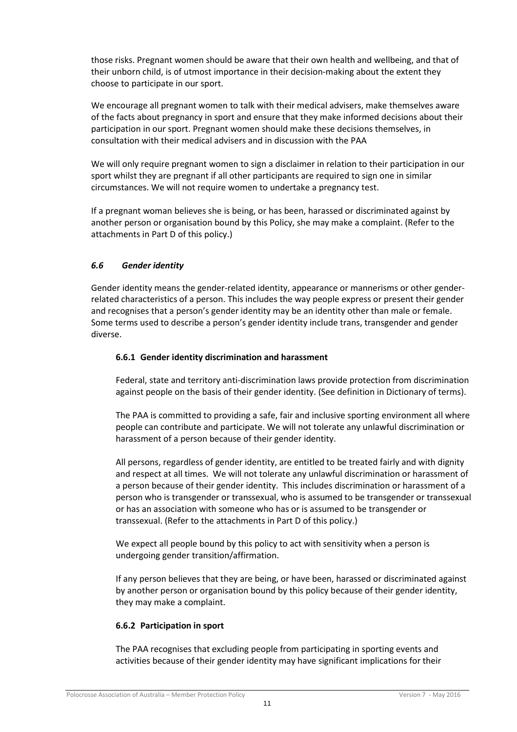those risks. Pregnant women should be aware that their own health and wellbeing, and that of their unborn child, is of utmost importance in their decision-making about the extent they choose to participate in our sport.

We encourage all pregnant women to talk with their medical advisers, make themselves aware of the facts about pregnancy in sport and ensure that they make informed decisions about their participation in our sport. Pregnant women should make these decisions themselves, in consultation with their medical advisers and in discussion with the PAA

We will only require pregnant women to sign a disclaimer in relation to their participation in our sport whilst they are pregnant if all other participants are required to sign one in similar circumstances. We will not require women to undertake a pregnancy test.

If a pregnant woman believes she is being, or has been, harassed or discriminated against by another person or organisation bound by this Policy, she may make a complaint. (Refer to the attachments in Part D of this policy.)

# <span id="page-11-0"></span>*6.6 Gender identity*

Gender identity means the gender-related identity, appearance or mannerisms or other genderrelated characteristics of a person. This includes the way people express or present their gender and recognises that a person's gender identity may be an identity other than male or female. Some terms used to describe a person's gender identity include trans, transgender and gender diverse.

# **6.6.1 Gender identity discrimination and harassment**

Federal, state and territory anti-discrimination laws provide protection from discrimination against people on the basis of their gender identity. (See definition in Dictionary of terms).

The PAA is committed to providing a safe, fair and inclusive sporting environment all where people can contribute and participate. We will not tolerate any unlawful discrimination or harassment of a person because of their gender identity.

All persons, regardless of gender identity, are entitled to be treated fairly and with dignity and respect at all times. We will not tolerate any unlawful discrimination or harassment of a person because of their gender identity. This includes discrimination or harassment of a person who is transgender or transsexual, who is assumed to be transgender or transsexual or has an association with someone who has or is assumed to be transgender or transsexual. (Refer to the attachments in Part D of this policy.)

We expect all people bound by this policy to act with sensitivity when a person is undergoing gender transition/affirmation.

If any person believes that they are being, or have been, harassed or discriminated against by another person or organisation bound by this policy because of their gender identity, they may make a complaint.

# **6.6.2 Participation in sport**

The PAA recognises that excluding people from participating in sporting events and activities because of their gender identity may have significant implications for their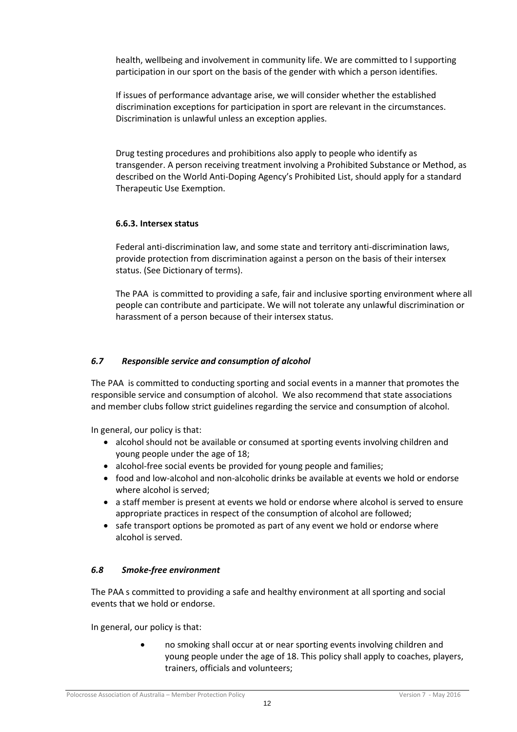health, wellbeing and involvement in community life. We are committed to l supporting participation in our sport on the basis of the gender with which a person identifies.

If issues of performance advantage arise, we will consider whether the established discrimination exceptions for participation in sport are relevant in the circumstances. Discrimination is unlawful unless an exception applies.

Drug testing procedures and prohibitions also apply to people who identify as transgender. A person receiving treatment involving a Prohibited Substance or Method, as described on the World Anti-Doping Agency's Prohibited List, should apply for a standard Therapeutic Use Exemption.

### **6.6.3. Intersex status**

Federal anti-discrimination law, and some state and territory anti-discrimination laws, provide protection from discrimination against a person on the basis of their intersex status. (See Dictionary of terms).

The PAA is committed to providing a safe, fair and inclusive sporting environment where all people can contribute and participate. We will not tolerate any unlawful discrimination or harassment of a person because of their intersex status.

### <span id="page-12-0"></span>*6.7 Responsible service and consumption of alcohol*

The PAA is committed to conducting sporting and social events in a manner that promotes the responsible service and consumption of alcohol. We also recommend that state associations and member clubs follow strict guidelines regarding the service and consumption of alcohol.

In general, our policy is that:

- alcohol should not be available or consumed at sporting events involving children and young people under the age of 18;
- alcohol-free social events be provided for young people and families;
- food and low-alcohol and non-alcoholic drinks be available at events we hold or endorse where alcohol is served;
- a staff member is present at events we hold or endorse where alcohol is served to ensure appropriate practices in respect of the consumption of alcohol are followed;
- safe transport options be promoted as part of any event we hold or endorse where alcohol is served.

### <span id="page-12-1"></span>*6.8 Smoke-free environment*

The PAA s committed to providing a safe and healthy environment at all sporting and social events that we hold or endorse.

In general, our policy is that:

 no smoking shall occur at or near sporting events involving children and young people under the age of 18. This policy shall apply to coaches, players, trainers, officials and volunteers;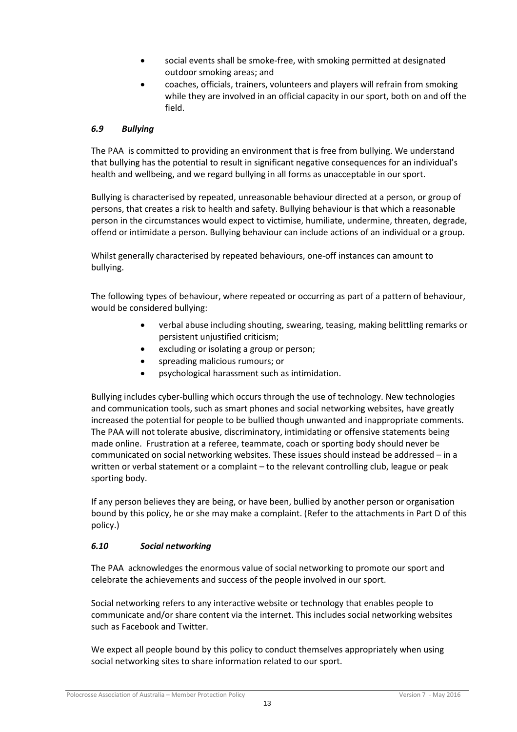- social events shall be smoke-free, with smoking permitted at designated outdoor smoking areas; and
- coaches, officials, trainers, volunteers and players will refrain from smoking while they are involved in an official capacity in our sport, both on and off the field.

# <span id="page-13-0"></span>*6.9 Bullying*

The PAA is committed to providing an environment that is free from bullying. We understand that bullying has the potential to result in significant negative consequences for an individual's health and wellbeing, and we regard bullying in all forms as unacceptable in our sport.

Bullying is characterised by repeated, unreasonable behaviour directed at a person, or group of persons, that creates a risk to health and safety. Bullying behaviour is that which a reasonable person in the circumstances would expect to victimise, humiliate, undermine, threaten, degrade, offend or intimidate a person. Bullying behaviour can include actions of an individual or a group.

Whilst generally characterised by repeated behaviours, one-off instances can amount to bullying.

The following types of behaviour, where repeated or occurring as part of a pattern of behaviour, would be considered bullying:

- verbal abuse including shouting, swearing, teasing, making belittling remarks or persistent unjustified criticism;
- excluding or isolating a group or person;
- spreading malicious rumours; or
- psychological harassment such as intimidation.

Bullying includes cyber-bulling which occurs through the use of technology. New technologies and communication tools, such as smart phones and social networking websites, have greatly increased the potential for people to be bullied though unwanted and inappropriate comments. The PAA will not tolerate abusive, discriminatory, intimidating or offensive statements being made online. Frustration at a referee, teammate, coach or sporting body should never be communicated on social networking websites. These issues should instead be addressed – in a written or verbal statement or a complaint – to the relevant controlling club, league or peak sporting body.

If any person believes they are being, or have been, bullied by another person or organisation bound by this policy, he or she may make a complaint. (Refer to the attachments in Part D of this policy.)

# <span id="page-13-1"></span>*6.10 Social networking*

The PAA acknowledges the enormous value of social networking to promote our sport and celebrate the achievements and success of the people involved in our sport.

Social networking refers to any interactive website or technology that enables people to communicate and/or share content via the internet. This includes social networking websites such as Facebook and Twitter.

We expect all people bound by this policy to conduct themselves appropriately when using social networking sites to share information related to our sport.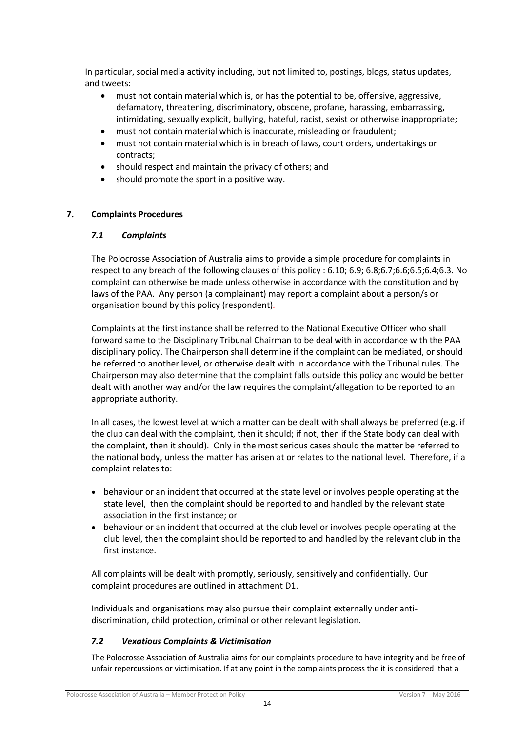In particular, social media activity including, but not limited to, postings, blogs, status updates, and tweets:

- must not contain material which is, or has the potential to be, offensive, aggressive, defamatory, threatening, discriminatory, obscene, profane, harassing, embarrassing, intimidating, sexually explicit, bullying, hateful, racist, sexist or otherwise inappropriate;
- must not contain material which is inaccurate, misleading or fraudulent;
- must not contain material which is in breach of laws, court orders, undertakings or contracts;
- should respect and maintain the privacy of others; and
- should promote the sport in a positive way.

# <span id="page-14-1"></span><span id="page-14-0"></span>**7. Complaints Procedures**

# *7.1 Complaints*

The Polocrosse Association of Australia aims to provide a simple procedure for complaints in respect to any breach of the following clauses of this policy : 6.10; 6.9; 6.8;6.7;6.6;6.5;6.4;6.3. No complaint can otherwise be made unless otherwise in accordance with the constitution and by laws of the PAA. Any person (a complainant) may report a complaint about a person/s or organisation bound by this policy (respondent)*.*

Complaints at the first instance shall be referred to the National Executive Officer who shall forward same to the Disciplinary Tribunal Chairman to be deal with in accordance with the PAA disciplinary policy. The Chairperson shall determine if the complaint can be mediated, or should be referred to another level, or otherwise dealt with in accordance with the Tribunal rules. The Chairperson may also determine that the complaint falls outside this policy and would be better dealt with another way and/or the law requires the complaint/allegation to be reported to an appropriate authority.

In all cases, the lowest level at which a matter can be dealt with shall always be preferred (e.g. if the club can deal with the complaint, then it should; if not, then if the State body can deal with the complaint, then it should). Only in the most serious cases should the matter be referred to the national body, unless the matter has arisen at or relates to the national level. Therefore, if a complaint relates to:

- behaviour or an incident that occurred at the state level or involves people operating at the state level, then the complaint should be reported to and handled by the relevant state association in the first instance; or
- behaviour or an incident that occurred at the club level or involves people operating at the club level, then the complaint should be reported to and handled by the relevant club in the first instance.

All complaints will be dealt with promptly, seriously, sensitively and confidentially. Our complaint procedures are outlined in attachment D1.

Individuals and organisations may also pursue their complaint externally under antidiscrimination, child protection, criminal or other relevant legislation.

# <span id="page-14-2"></span>*7.2 Vexatious Complaints & Victimisation*

The Polocrosse Association of Australia aims for our complaints procedure to have integrity and be free of unfair repercussions or victimisation. If at any point in the complaints process the it is considered that a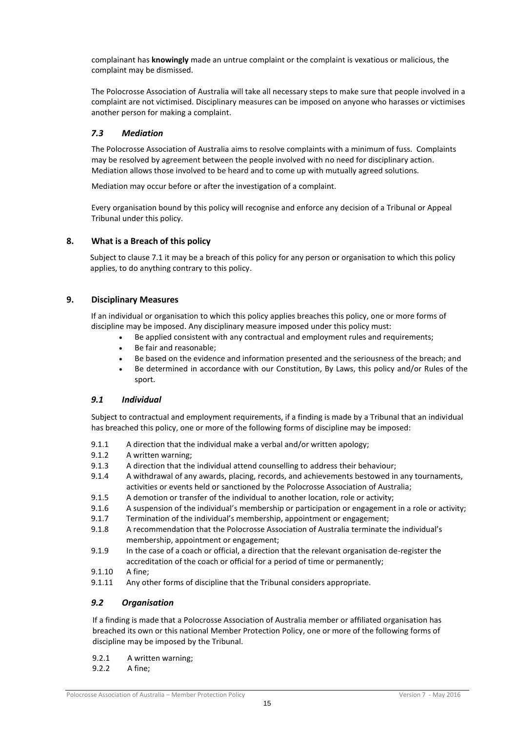complainant has **knowingly** made an untrue complaint or the complaint is vexatious or malicious, the complaint may be dismissed.

The Polocrosse Association of Australia will take all necessary steps to make sure that people involved in a complaint are not victimised. Disciplinary measures can be imposed on anyone who harasses or victimises another person for making a complaint.

### <span id="page-15-0"></span>*7.3 Mediation*

The Polocrosse Association of Australia aims to resolve complaints with a minimum of fuss. Complaints may be resolved by agreement between the people involved with no need for disciplinary action. Mediation allows those involved to be heard and to come up with mutually agreed solutions.

Mediation may occur before or after the investigation of a complaint.

Every organisation bound by this policy will recognise and enforce any decision of a Tribunal or Appeal Tribunal under this policy.

### <span id="page-15-1"></span>**8. What is a Breach of this policy**

Subject to clause 7.1 it may be a breach of this policy for any person or organisation to which this policy applies, to do anything contrary to this policy.

### <span id="page-15-2"></span>**9. Disciplinary Measures**

If an individual or organisation to which this policy applies breaches this policy, one or more forms of discipline may be imposed. Any disciplinary measure imposed under this policy must:

- Be applied consistent with any contractual and employment rules and requirements;
- Be fair and reasonable;
- Be based on the evidence and information presented and the seriousness of the breach; and
- Be determined in accordance with our Constitution, By Laws, this policy and/or Rules of the sport.

### <span id="page-15-3"></span>*9.1 Individual*

Subject to contractual and employment requirements, if a finding is made by a Tribunal that an individual has breached this policy, one or more of the following forms of discipline may be imposed:

- 9.1.1 A direction that the individual make a verbal and/or written apology;<br>9.1.2 A written warning;
- A written warning;
- 9.1.3 A direction that the individual attend counselling to address their behaviour;
- 9.1.4 A withdrawal of any awards, placing, records, and achievements bestowed in any tournaments, activities or events held or sanctioned by the Polocrosse Association of Australia;
- 9.1.5 A demotion or transfer of the individual to another location, role or activity;
- 9.1.6 A suspension of the individual's membership or participation or engagement in a role or activity;
- 9.1.7 Termination of the individual's membership, appointment or engagement;
- 9.1.8 A recommendation that the Polocrosse Association of Australia terminate the individual's membership, appointment or engagement;
- 9.1.9 In the case of a coach or official, a direction that the relevant organisation de-register the accreditation of the coach or official for a period of time or permanently;
- 9.1.10 A fine;
- <span id="page-15-4"></span>9.1.11 Any other forms of discipline that the Tribunal considers appropriate.

### *9.2 Organisation*

If a finding is made that a Polocrosse Association of Australia member or affiliated organisation has breached its own or this national Member Protection Policy, one or more of the following forms of discipline may be imposed by the Tribunal.

- 9.2.1 A written warning;
- 9.2.2 A fine;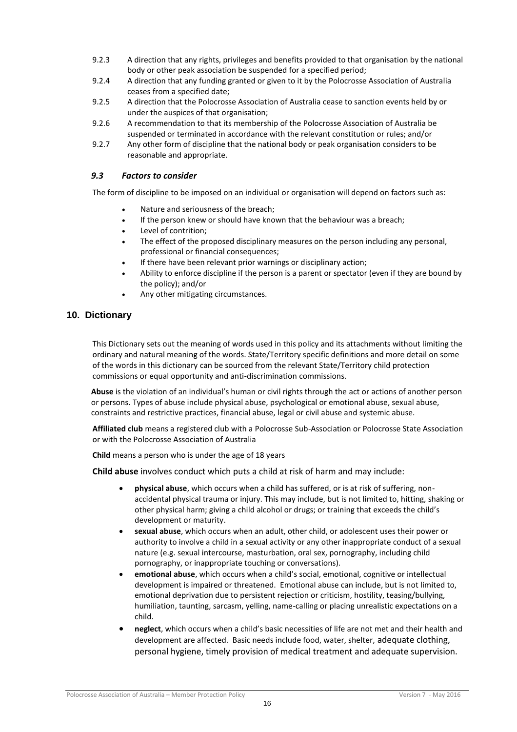- 9.2.3 A direction that any rights, privileges and benefits provided to that organisation by the national body or other peak association be suspended for a specified period;
- 9.2.4 A direction that any funding granted or given to it by the Polocrosse Association of Australia ceases from a specified date;
- 9.2.5 A direction that the Polocrosse Association of Australia cease to sanction events held by or under the auspices of that organisation;
- 9.2.6 A recommendation to that its membership of the Polocrosse Association of Australia be suspended or terminated in accordance with the relevant constitution or rules; and/or
- 9.2.7 Any other form of discipline that the national body or peak organisation considers to be reasonable and appropriate.

### <span id="page-16-0"></span>*9.3 Factors to consider*

The form of discipline to be imposed on an individual or organisation will depend on factors such as:

- Nature and seriousness of the breach;
- If the person knew or should have known that the behaviour was a breach;
- Level of contrition;
- The effect of the proposed disciplinary measures on the person including any personal, professional or financial consequences;
- If there have been relevant prior warnings or disciplinary action;
- Ability to enforce discipline if the person is a parent or spectator (even if they are bound by the policy); and/or
- Any other mitigating circumstances.

### <span id="page-16-1"></span>**10. Dictionary**

This Dictionary sets out the meaning of words used in this policy and its attachments without limiting the ordinary and natural meaning of the words. State/Territory specific definitions and more detail on some of the words in this dictionary can be sourced from the relevant State/Territory child protection commissions or equal opportunity and anti-discrimination commissions.

**Abuse** is the violation of an individual's human or civil rights through the act or actions of another person or persons. Types of abuse include physical abuse, psychological or emotional abuse, sexual abuse, constraints and restrictive practices, financial abuse, legal or civil abuse and systemic abuse.

**Affiliated club** means a registered club with a Polocrosse Sub-Association or Polocrosse State Association or with the Polocrosse Association of Australia

**Child** means a person who is under the age of 18 years

**Child abuse** involves conduct which puts a child at risk of harm and may include:

- **physical abuse**, which occurs when a child has suffered, or is at risk of suffering, nonaccidental physical trauma or injury. This may include, but is not limited to, hitting, shaking or other physical harm; giving a child alcohol or drugs; or training that exceeds the child's development or maturity.
- **sexual abuse**, which occurs when an adult, other child, or adolescent uses their power or authority to involve a child in a sexual activity or any other inappropriate conduct of a sexual nature (e.g. sexual intercourse, masturbation, oral sex, pornography, including child pornography, or inappropriate touching or conversations).
- **emotional abuse**, which occurs when a child's social, emotional, cognitive or intellectual development is impaired or threatened. Emotional abuse can include, but is not limited to, emotional deprivation due to persistent rejection or criticism, hostility, teasing/bullying, humiliation, taunting, sarcasm, yelling, name-calling or placing unrealistic expectations on a child.
- **neglect**, which occurs when a child's basic necessities of life are not met and their health and development are affected. Basic needs include food, water, shelter, adequate clothing, personal hygiene, timely provision of medical treatment and adequate supervision.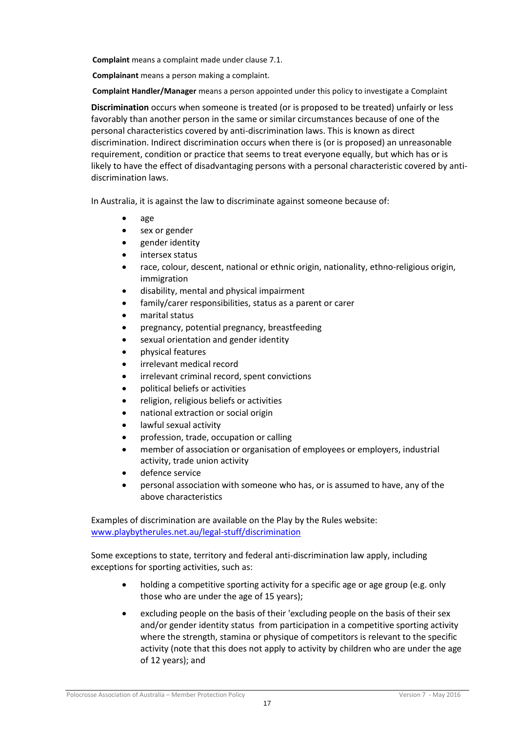**Complaint** means a complaint made under clause 7.1.

**Complainant** means a person making a complaint.

**Complaint Handler/Manager** means a person appointed under this policy to investigate a Complaint

**Discrimination** occurs when someone is treated (or is proposed to be treated) unfairly or less favorably than another person in the same or similar circumstances because of one of the personal characteristics covered by anti-discrimination laws. This is known as direct discrimination. Indirect discrimination occurs when there is (or is proposed) an unreasonable requirement, condition or practice that seems to treat everyone equally, but which has or is likely to have the effect of disadvantaging persons with a personal characteristic covered by antidiscrimination laws.

In Australia, it is against the law to discriminate against someone because of:

- age
- sex or gender
- gender identity
- intersex status
- race, colour, descent, national or ethnic origin, nationality, ethno-religious origin, immigration
- disability, mental and physical impairment
- family/carer responsibilities, status as a parent or carer
- marital status
- pregnancy, potential pregnancy, breastfeeding
- sexual orientation and gender identity
- physical features
- irrelevant medical record
- irrelevant criminal record, spent convictions
- political beliefs or activities
- religion, religious beliefs or activities
- national extraction or social origin
- lawful sexual activity
- profession, trade, occupation or calling
- member of association or organisation of employees or employers, industrial activity, trade union activity
- defence service
- personal association with someone who has, or is assumed to have, any of the above characteristics

Examples of discrimination are available on the Play by the Rules website: [www.playbytherules.net.au/legal-stuff/discrimination](http://www.playbytherules.net.au/legal-stuff/discrimination)

Some exceptions to state, territory and federal anti-discrimination law apply, including exceptions for sporting activities, such as:

- holding a competitive sporting activity for a specific age or age group (e.g. only those who are under the age of 15 years);
- excluding people on the basis of their 'excluding people on the basis of their sex and/or gender identity status from participation in a competitive sporting activity where the strength, stamina or physique of competitors is relevant to the specific activity (note that this does not apply to activity by children who are under the age of 12 years); and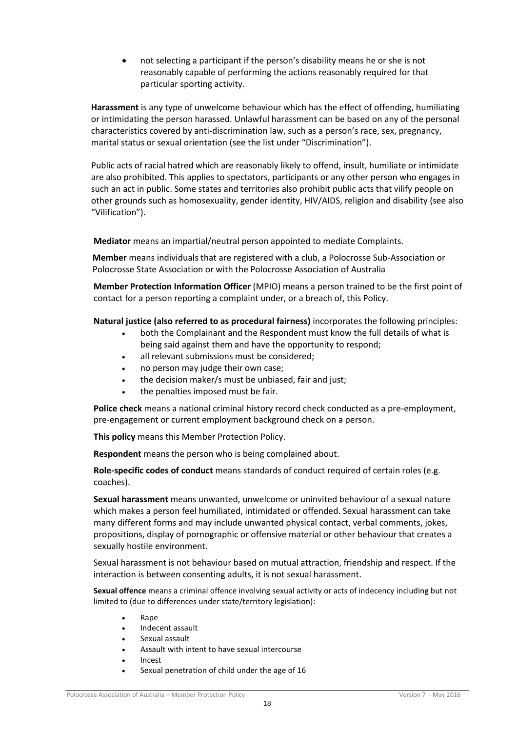not selecting a participant if the person's disability means he or she is not reasonably capable of performing the actions reasonably required for that particular sporting activity.

**Harassment** is any type of unwelcome behaviour which has the effect of offending, humiliating or intimidating the person harassed. Unlawful harassment can be based on any of the personal characteristics covered by anti-discrimination law, such as a person's race, sex, pregnancy, marital status or sexual orientation (see the list under "Discrimination").

Public acts of racial hatred which are reasonably likely to offend, insult, humiliate or intimidate are also prohibited. This applies to spectators, participants or any other person who engages in such an act in public. Some states and territories also prohibit public acts that vilify people on other grounds such as homosexuality, gender identity, HIV/AIDS, religion and disability (see also "Vilification").

**Mediator** means an impartial/neutral person appointed to mediate Complaints.

**Member** means individuals that are registered with a club, a Polocrosse Sub-Association or Polocrosse State Association or with the Polocrosse Association of Australia

**Member Protection Information Officer** (MPIO) means a person trained to be the first point of contact for a person reporting a complaint under, or a breach of, this Policy.

### **Natural justice (also referred to as procedural fairness)** incorporates the following principles:

- both the Complainant and the Respondent must know the full details of what is being said against them and have the opportunity to respond;
- all relevant submissions must be considered;
- no person may judge their own case;
- the decision maker/s must be unbiased, fair and just;
- the penalties imposed must be fair.

**Police check** means a national criminal history record check conducted as a pre-employment, pre-engagement or current employment background check on a person.

**This policy** means this Member Protection Policy.

**Respondent** means the person who is being complained about.

**Role-specific codes of conduct** means standards of conduct required of certain roles (e.g. coaches).

**Sexual harassment** means unwanted, unwelcome or uninvited behaviour of a sexual nature which makes a person feel humiliated, intimidated or offended. Sexual harassment can take many different forms and may include unwanted physical contact, verbal comments, jokes, propositions, display of pornographic or offensive material or other behaviour that creates a sexually hostile environment.

Sexual harassment is not behaviour based on mutual attraction, friendship and respect. If the interaction is between consenting adults, it is not sexual harassment.

**Sexual offence** means a criminal offence involving sexual activity or acts of indecency including but not limited to (due to differences under state/territory legislation):

- Rape
- Indecent assault
- Sexual assault
- Assault with intent to have sexual intercourse
- Incest
- Sexual penetration of child under the age of 16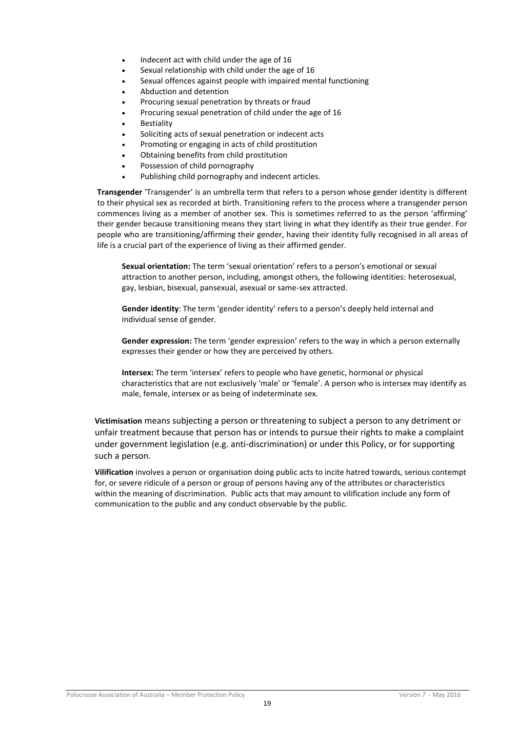- Indecent act with child under the age of 16
- Sexual relationship with child under the age of 16
- Sexual offences against people with impaired mental functioning
- Abduction and detention
- Procuring sexual penetration by threats or fraud
- Procuring sexual penetration of child under the age of 16
- Bestiality
- Soliciting acts of sexual penetration or indecent acts
- Promoting or engaging in acts of child prostitution
- Obtaining benefits from child prostitution
- Possession of child pornography
- Publishing child pornography and indecent articles.

**Transgender** 'Transgender' is an umbrella term that refers to a person whose gender identity is different to their physical sex as recorded at birth. Transitioning refers to the process where a transgender person commences living as a member of another sex. This is sometimes referred to as the person 'affirming' their gender because transitioning means they start living in what they identify as their true gender. For people who are transitioning/affirming their gender, having their identity fully recognised in all areas of life is a crucial part of the experience of living as their affirmed gender.

**Sexual orientation:** The term 'sexual orientation' refers to a person's emotional or sexual attraction to another person, including, amongst others, the following identities: heterosexual, gay, lesbian, bisexual, pansexual, asexual or same-sex attracted.

**Gender identity**: The term 'gender identity' refers to a person's deeply held internal and individual sense of gender.

**Gender expression:** The term 'gender expression' refers to the way in which a person externally expresses their gender or how they are perceived by others.

**Intersex:** The term 'intersex' refers to people who have genetic, hormonal or physical characteristics that are not exclusively 'male' or 'female'. A person who is intersex may identify as male, female, intersex or as being of indeterminate sex.

**Victimisation** means subjecting a person or threatening to subject a person to any detriment or unfair treatment because that person has or intends to pursue their rights to make a complaint under government legislation (e.g. anti-discrimination) or under this Policy, or for supporting such a person.

**Vilification** involves a person or organisation doing public acts to incite hatred towards, serious contempt for, or severe ridicule of a person or group of persons having any of the attributes or characteristics within the meaning of discrimination. Public acts that may amount to vilification include any form of communication to the public and any conduct observable by the public.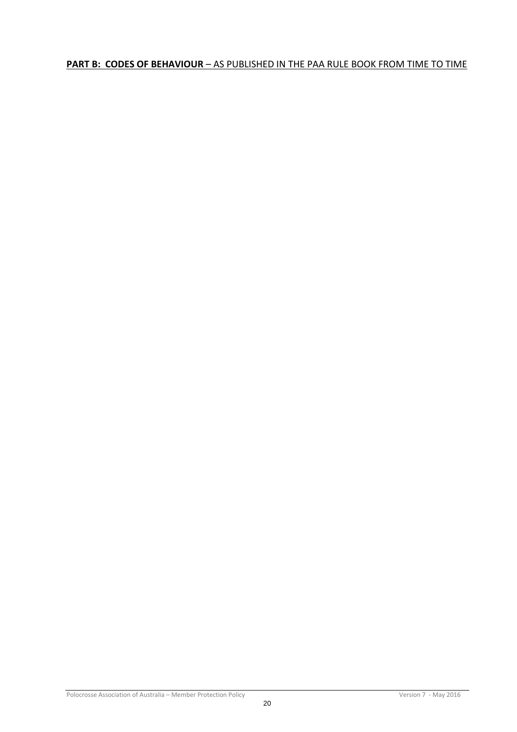# <span id="page-20-0"></span>**PART B: CODES OF BEHAVIOUR** – AS PUBLISHED IN THE PAA RULE BOOK FROM TIME TO TIME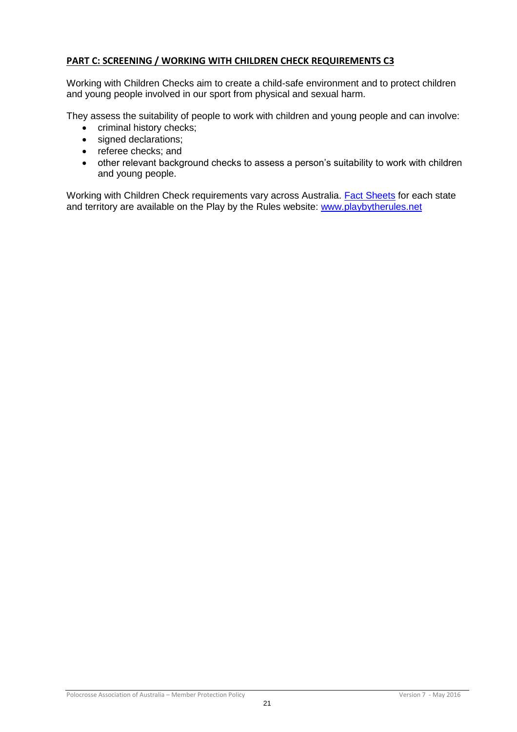# <span id="page-21-0"></span>**PART C: SCREENING / WORKING WITH CHILDREN CHECK REQUIREMENTS C3**

Working with Children Checks aim to create a child-safe environment and to protect children and young people involved in our sport from physical and sexual harm.

They assess the suitability of people to work with children and young people and can involve:

- criminal history checks;
- signed declarations:
- referee checks; and
- other relevant background checks to assess a person's suitability to work with children and young people.

Working with Children Check requirements vary across Australia. [Fact Sheets](http://www.playbytherules.net.au/legal-stuff/child-protection/child-protection-laws-explained/screening) for each state and territory are available on the Play by the Rules website: [www.playbytherules.net](http://www.playbytherules.net/)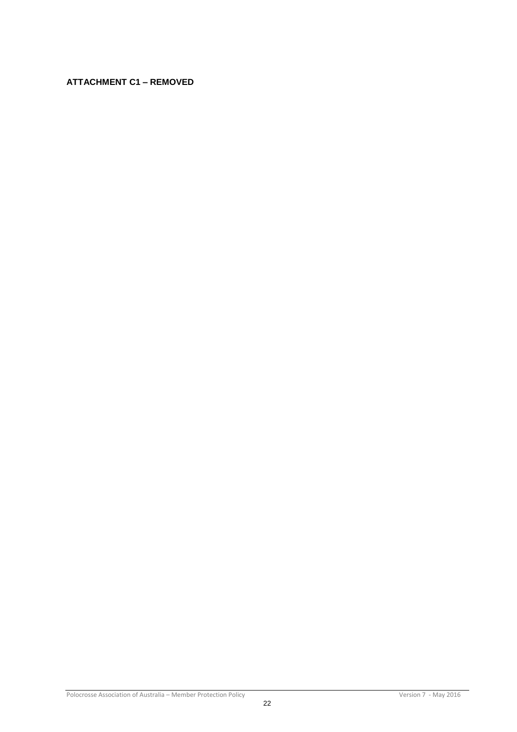# <span id="page-22-0"></span>**ATTACHMENT C1 – REMOVED**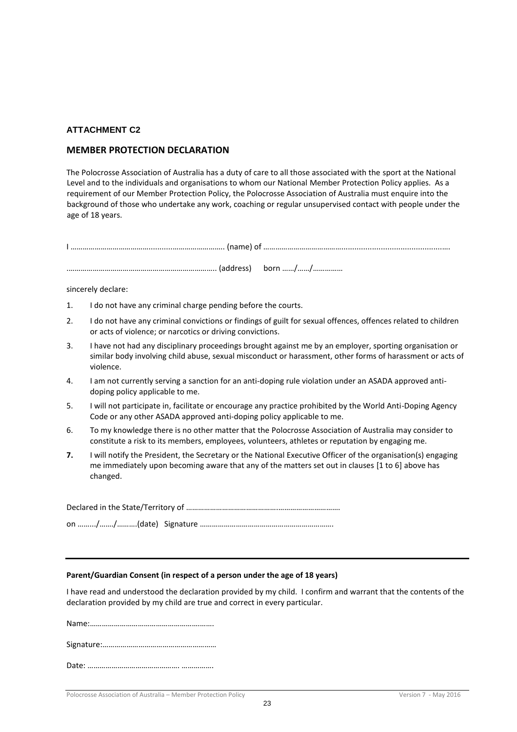### <span id="page-23-0"></span>**ATTACHMENT C2**

### <span id="page-23-1"></span>**MEMBER PROTECTION DECLARATION**

The Polocrosse Association of Australia has a duty of care to all those associated with the sport at the National Level and to the individuals and organisations to whom our National Member Protection Policy applies. As a requirement of our Member Protection Policy, the Polocrosse Association of Australia must enquire into the background of those who undertake any work, coaching or regular unsupervised contact with people under the age of 18 years.

sincerely declare:

- 1. I do not have any criminal charge pending before the courts.
- 2. I do not have any criminal convictions or findings of guilt for sexual offences, offences related to children or acts of violence; or narcotics or driving convictions.
- 3. I have not had any disciplinary proceedings brought against me by an employer, sporting organisation or similar body involving child abuse, sexual misconduct or harassment, other forms of harassment or acts of violence.
- 4. I am not currently serving a sanction for an anti-doping rule violation under an ASADA approved antidoping policy applicable to me.
- 5. I will not participate in, facilitate or encourage any practice prohibited by the World Anti-Doping Agency Code or any other ASADA approved anti-doping policy applicable to me.
- 6. To my knowledge there is no other matter that the Polocrosse Association of Australia may consider to constitute a risk to its members, employees, volunteers, athletes or reputation by engaging me.
- **7.** I will notify the President, the Secretary or the National Executive Officer of the organisation(s) engaging me immediately upon becoming aware that any of the matters set out in clauses [1 to 6] above has changed.

Declared in the State/Territory of ……………………………………….…………………………. on …….../……./……….(date) Signature ………………………………………………………….

### **Parent/Guardian Consent (in respect of a person under the age of 18 years)**

I have read and understood the declaration provided by my child. I confirm and warrant that the contents of the declaration provided by my child are true and correct in every particular.

Name:……………………………………………….…….

Signature:…………………………………………………

|--|--|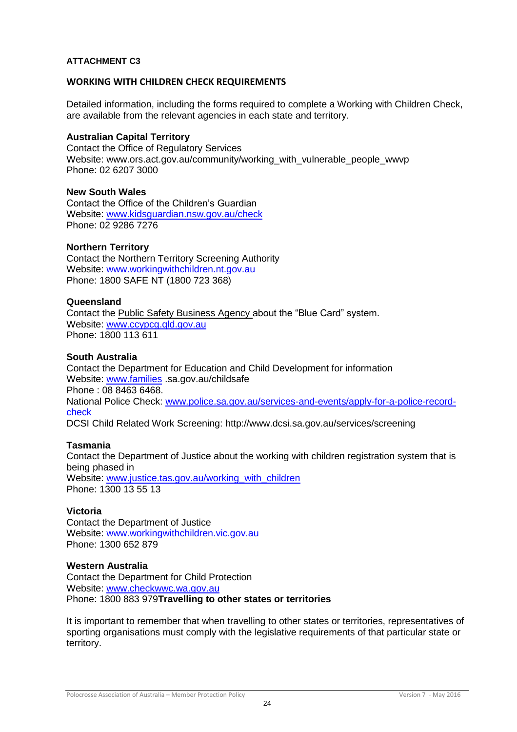### <span id="page-24-0"></span>**ATTACHMENT C3**

### <span id="page-24-1"></span>**WORKING WITH CHILDREN CHECK REQUIREMENTS**

Detailed information, including the forms required to complete a Working with Children Check, are available from the relevant agencies in each state and territory.

### **Australian Capital Territory**

Contact the Office of Regulatory Services Website: www.ors.act.gov.au/community/working\_with\_vulnerable\_people\_wwvp Phone: 02 6207 3000

### **New South Wales**

Contact the Office of the Children's Guardian Website: [www.kidsguardian.nsw.gov.au/](http://www.kidsguardian.nsw.gov.au/)check Phone: 02 9286 7276

### **Northern Territory**

Contact the Northern Territory Screening Authority Website: [www.workingwithchildren.nt.gov.au](http://www.workingwithchildren.nt.gov.au/) Phone: 1800 SAFE NT (1800 723 368)

### **Queensland**

Contact the Public Safety Business Agency about the "Blue Card" system. Website: [www.ccypcg.qld.gov.au](http://www.ccypcg.qld.gov.au/) Phone: 1800 113 611

### **South Australia**

Contact the Department for Education and Child Development for information Website: [www.families](http://www.families/) .sa.gov.au/childsafe Phone : 08 8463 6468. National Police Check: [www.police.sa.gov.au/services-and-events/apply-for-a-police-record](http://www.police.sa.gov.au/services-and-events/apply-for-a-police-record-check)[check](http://www.police.sa.gov.au/services-and-events/apply-for-a-police-record-check) DCSI Child Related Work Screening: http://www.dcsi.sa.gov.au/services/screening

### **Tasmania**

Contact the Department of Justice about the working with children registration system that is being phased in Website: [www.justice.tas.gov.au/working\\_with\\_children](http://www.justice.tas.gov.au/working_with_children) Phone: 1300 13 55 13

### **Victoria**

Contact the Department of Justice Website: [www.workingwithchildren.vic.gov.au](http://www.workingwithchildren.vic.gov.au/) Phone: 1300 652 879

### **Western Australia**

Contact the Department for Child Protection Website: [www.checkwwc.wa.gov.au](http://www.checkwwc.wa.gov.au/) Phone: 1800 883 979**Travelling to other states or territories**

It is important to remember that when travelling to other states or territories, representatives of sporting organisations must comply with the legislative requirements of that particular state or territory.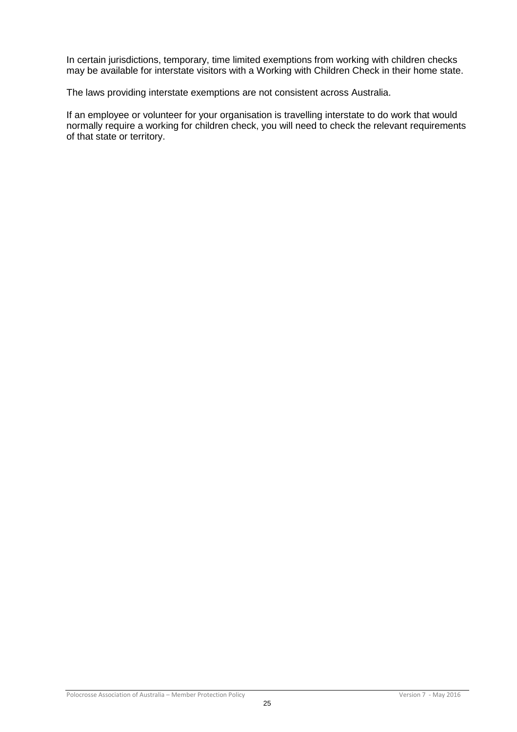In certain jurisdictions, temporary, time limited exemptions from working with children checks may be available for interstate visitors with a Working with Children Check in their home state.

The laws providing interstate exemptions are not consistent across Australia.

If an employee or volunteer for your organisation is travelling interstate to do work that would normally require a working for children check, you will need to check the relevant requirements of that state or territory.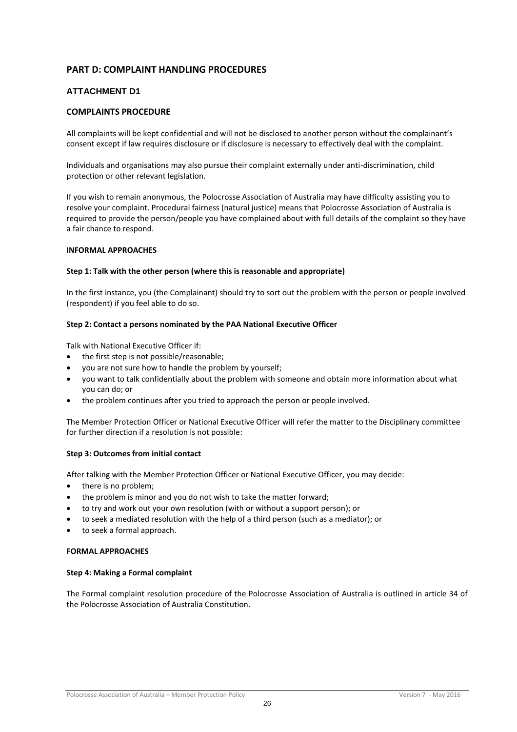### <span id="page-26-0"></span>**PART D: COMPLAINT HANDLING PROCEDURES**

### <span id="page-26-1"></span>**ATTACHMENT D1**

#### <span id="page-26-2"></span>**COMPLAINTS PROCEDURE**

All complaints will be kept confidential and will not be disclosed to another person without the complainant's consent except if law requires disclosure or if disclosure is necessary to effectively deal with the complaint.

Individuals and organisations may also pursue their complaint externally under anti-discrimination, child protection or other relevant legislation.

If you wish to remain anonymous, the Polocrosse Association of Australia may have difficulty assisting you to resolve your complaint. Procedural fairness (natural justice) means that Polocrosse Association of Australia is required to provide the person/people you have complained about with full details of the complaint so they have a fair chance to respond.

#### **INFORMAL APPROACHES**

#### **Step 1: Talk with the other person (where this is reasonable and appropriate)**

In the first instance, you (the Complainant) should try to sort out the problem with the person or people involved (respondent) if you feel able to do so.

#### **Step 2: Contact a persons nominated by the PAA National Executive Officer**

Talk with National Executive Officer if:

- the first step is not possible/reasonable;
- you are not sure how to handle the problem by yourself;
- you want to talk confidentially about the problem with someone and obtain more information about what you can do; or
- the problem continues after you tried to approach the person or people involved.

The Member Protection Officer or National Executive Officer will refer the matter to the Disciplinary committee for further direction if a resolution is not possible:

#### **Step 3: Outcomes from initial contact**

After talking with the Member Protection Officer or National Executive Officer, you may decide:

- there is no problem;
- the problem is minor and you do not wish to take the matter forward;
- to try and work out your own resolution (with or without a support person); or
- to seek a mediated resolution with the help of a third person (such as a mediator); or
- to seek a formal approach.

#### **FORMAL APPROACHES**

#### **Step 4: Making a Formal complaint**

The Formal complaint resolution procedure of the Polocrosse Association of Australia is outlined in article 34 of the Polocrosse Association of Australia Constitution.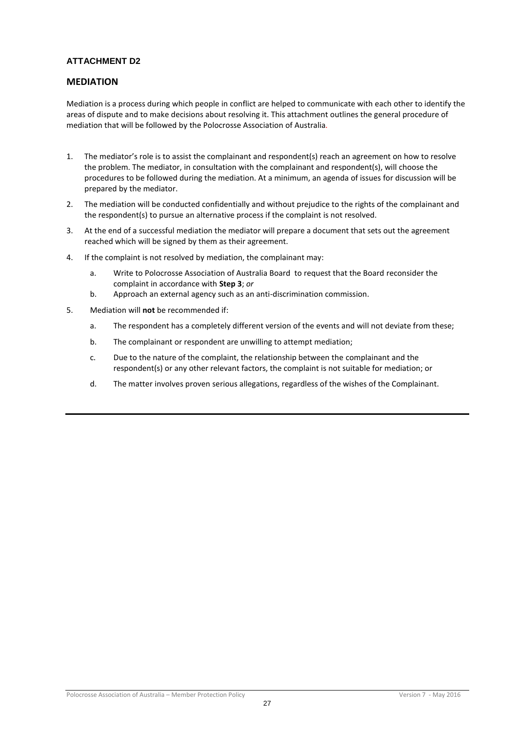### <span id="page-27-0"></span>**ATTACHMENT D2**

### <span id="page-27-1"></span>**MEDIATION**

Mediation is a process during which people in conflict are helped to communicate with each other to identify the areas of dispute and to make decisions about resolving it. This attachment outlines the general procedure of mediation that will be followed by the Polocrosse Association of Australia*.*

- 1. The mediator's role is to assist the complainant and respondent(s) reach an agreement on how to resolve the problem. The mediator, in consultation with the complainant and respondent(s), will choose the procedures to be followed during the mediation. At a minimum, an agenda of issues for discussion will be prepared by the mediator.
- 2. The mediation will be conducted confidentially and without prejudice to the rights of the complainant and the respondent(s) to pursue an alternative process if the complaint is not resolved.
- 3. At the end of a successful mediation the mediator will prepare a document that sets out the agreement reached which will be signed by them as their agreement.
- 4. If the complaint is not resolved by mediation, the complainant may:
	- a. Write to Polocrosse Association of Australia Board to request that the Board reconsider the complaint in accordance with **Step 3**; *or*
	- b. Approach an external agency such as an anti-discrimination commission.
- 5. Mediation will **not** be recommended if:
	- a. The respondent has a completely different version of the events and will not deviate from these;
	- b. The complainant or respondent are unwilling to attempt mediation;
	- c. Due to the nature of the complaint, the relationship between the complainant and the respondent(s) or any other relevant factors, the complaint is not suitable for mediation; or
	- d. The matter involves proven serious allegations, regardless of the wishes of the Complainant.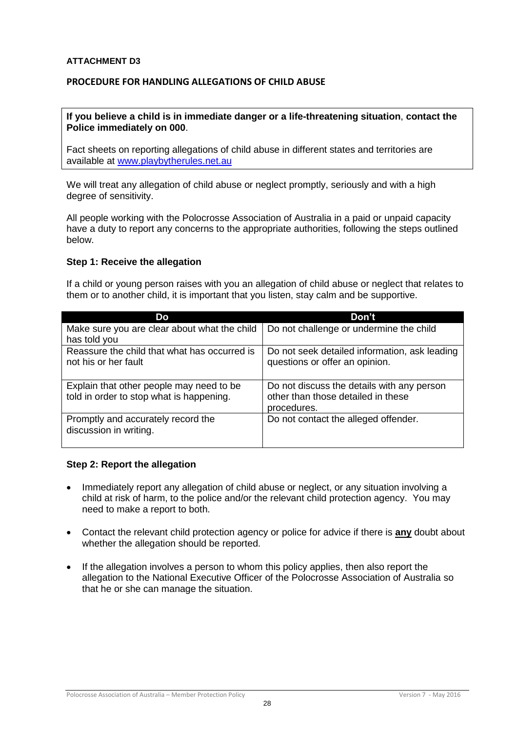### <span id="page-28-0"></span>**ATTACHMENT D3**

# <span id="page-28-1"></span>**PROCEDURE FOR HANDLING ALLEGATIONS OF CHILD ABUSE**

### **If you believe a child is in immediate danger or a life-threatening situation**, **contact the Police immediately on 000**.

Fact sheets on reporting allegations of child abuse in different states and territories are available at [www.playbytherules.net.au](http://www.playbytherules.net.au/)

We will treat any allegation of child abuse or neglect promptly, seriously and with a high degree of sensitivity.

All people working with the Polocrosse Association of Australia in a paid or unpaid capacity have a duty to report any concerns to the appropriate authorities, following the steps outlined below.

### **Step 1: Receive the allegation**

If a child or young person raises with you an allegation of child abuse or neglect that relates to them or to another child, it is important that you listen, stay calm and be supportive.

| Do                                                                   | Don't                                                                           |
|----------------------------------------------------------------------|---------------------------------------------------------------------------------|
| Make sure you are clear about what the child<br>has told you         | Do not challenge or undermine the child                                         |
| Reassure the child that what has occurred is<br>not his or her fault | Do not seek detailed information, ask leading<br>questions or offer an opinion. |
| Explain that other people may need to be                             | Do not discuss the details with any person                                      |
| told in order to stop what is happening.                             | other than those detailed in these                                              |
|                                                                      | procedures.                                                                     |
| Promptly and accurately record the<br>discussion in writing.         | Do not contact the alleged offender.                                            |

### **Step 2: Report the allegation**

- Immediately report any allegation of child abuse or neglect, or any situation involving a child at risk of harm, to the police and/or the relevant child protection agency. You may need to make a report to both.
- Contact the relevant child protection agency or police for advice if there is **any** doubt about whether the allegation should be reported.
- If the allegation involves a person to whom this policy applies, then also report the allegation to the National Executive Officer of the Polocrosse Association of Australia so that he or she can manage the situation.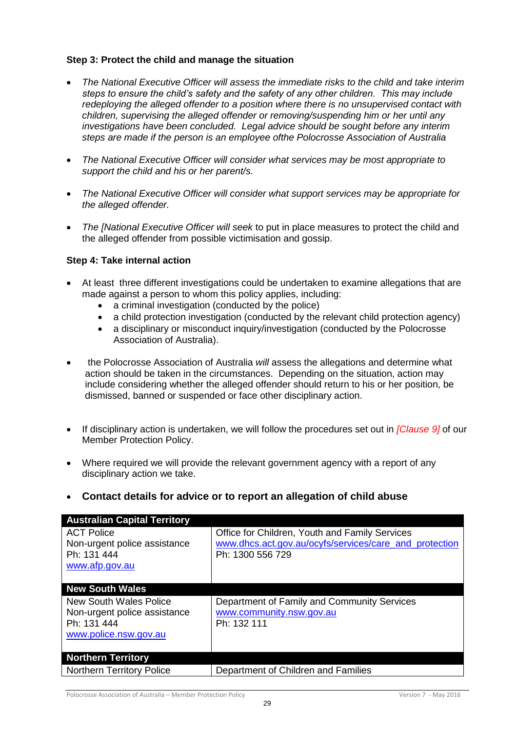# **Step 3: Protect the child and manage the situation**

- *The National Executive Officer will assess the immediate risks to the child and take interim steps to ensure the child's safety and the safety of any other children. This may include redeploying the alleged offender to a position where there is no unsupervised contact with children, supervising the alleged offender or removing/suspending him or her until any investigations have been concluded. Legal advice should be sought before any interim steps are made if the person is an employee ofthe Polocrosse Association of Australia*
- *The National Executive Officer will consider what services may be most appropriate to support the child and his or her parent/s.*
- *The National Executive Officer will consider what support services may be appropriate for the alleged offender.*
- *The [National Executive Officer will seek* to put in place measures to protect the child and the alleged offender from possible victimisation and gossip.

# **Step 4: Take internal action**

- At least three different investigations could be undertaken to examine allegations that are made against a person to whom this policy applies, including:
	- a criminal investigation (conducted by the police)
	- a child protection investigation (conducted by the relevant child protection agency)
	- a disciplinary or misconduct inquiry/investigation (conducted by the Polocrosse Association of Australia).
- the Polocrosse Association of Australia *will* assess the allegations and determine what action should be taken in the circumstances. Depending on the situation, action may include considering whether the alleged offender should return to his or her position, be dismissed, banned or suspended or face other disciplinary action.
- If disciplinary action is undertaken, we will follow the procedures set out in *[Clause 9]* of our Member Protection Policy.
- Where required we will provide the relevant government agency with a report of any disciplinary action we take.

# **Contact details for advice or to report an allegation of child abuse**

| <b>Australian Capital Territory</b> |                                                        |
|-------------------------------------|--------------------------------------------------------|
| <b>ACT Police</b>                   | Office for Children, Youth and Family Services         |
| Non-urgent police assistance        | www.dhcs.act.gov.au/ocyfs/services/care_and_protection |
| Ph: 131 444                         | Ph: 1300 556 729                                       |
| www.afp.gov.au                      |                                                        |
|                                     |                                                        |
| <b>New South Wales</b>              |                                                        |
| New South Wales Police              | Department of Family and Community Services            |
| Non-urgent police assistance        | www.community.nsw.gov.au                               |
| Ph: 131 444                         | Ph: 132 111                                            |
| www.police.nsw.gov.au               |                                                        |
|                                     |                                                        |
| <b>Northern Territory</b>           |                                                        |
| <b>Northern Territory Police</b>    | Department of Children and Families                    |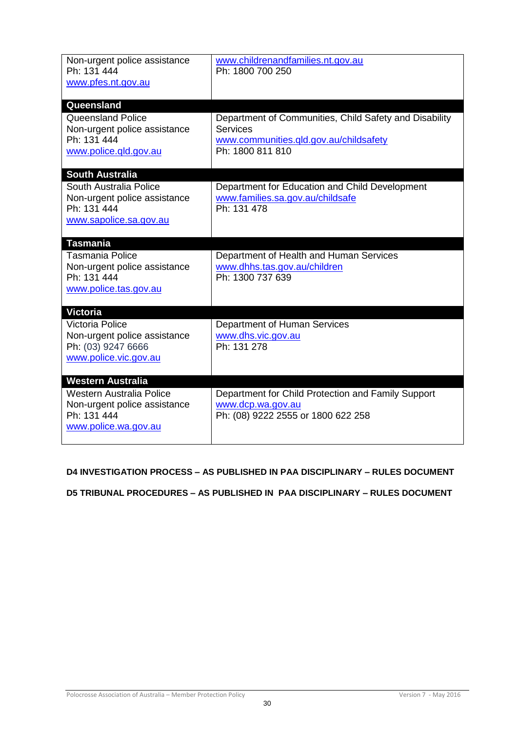| Non-urgent police assistance<br>Ph: 131 444<br>www.pfes.nt.gov.au                                                         | www.childrenandfamilies.nt.gov.au<br>Ph: 1800 700 250                                                                                   |
|---------------------------------------------------------------------------------------------------------------------------|-----------------------------------------------------------------------------------------------------------------------------------------|
| Queensland<br><b>Queensland Police</b><br>Non-urgent police assistance<br>Ph: 131 444<br>www.police.qld.gov.au            | Department of Communities, Child Safety and Disability<br><b>Services</b><br>www.communities.gld.gov.au/childsafety<br>Ph: 1800 811 810 |
| <b>South Australia</b><br>South Australia Police<br>Non-urgent police assistance<br>Ph: 131 444<br>www.sapolice.sa.gov.au | Department for Education and Child Development<br>www.families.sa.gov.au/childsafe<br>Ph: 131 478                                       |
| <b>Tasmania</b><br><b>Tasmania Police</b>                                                                                 | Department of Health and Human Services                                                                                                 |
| Non-urgent police assistance<br>Ph: 131 444<br>www.police.tas.gov.au                                                      | www.dhhs.tas.gov.au/children<br>Ph: 1300 737 639                                                                                        |
| <b>Victoria</b>                                                                                                           |                                                                                                                                         |
| <b>Victoria Police</b><br>Non-urgent police assistance<br>Ph: (03) 9247 6666<br>www.police.vic.gov.au                     | Department of Human Services<br>www.dhs.vic.gov.au<br>Ph: 131 278                                                                       |
| Western Australia                                                                                                         |                                                                                                                                         |
| Western Australia Police<br>Non-urgent police assistance<br>Ph: 131 444<br>www.police.wa.gov.au                           | Department for Child Protection and Family Support<br>www.dcp.wa.gov.au<br>Ph: (08) 9222 2555 or 1800 622 258                           |

# <span id="page-30-0"></span>**D4 INVESTIGATION PROCESS – AS PUBLISHED IN PAA DISCIPLINARY – RULES DOCUMENT**

<span id="page-30-1"></span>**D5 TRIBUNAL PROCEDURES – AS PUBLISHED IN PAA DISCIPLINARY – RULES DOCUMENT**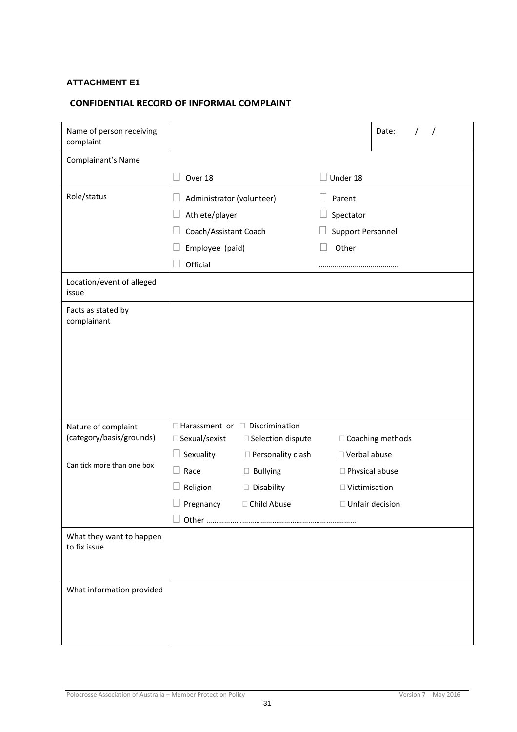# <span id="page-31-0"></span>**ATTACHMENT E1**

# <span id="page-31-1"></span>**CONFIDENTIAL RECORD OF INFORMAL COMPLAINT**

| Name of person receiving<br>complaint    |                                     |                                            |                      | Date:              |
|------------------------------------------|-------------------------------------|--------------------------------------------|----------------------|--------------------|
| Complainant's Name                       |                                     |                                            |                      |                    |
|                                          | Over 18<br>- 1                      |                                            | Under 18             |                    |
| Role/status                              | Administrator (volunteer)<br>$\Box$ |                                            | Parent               |                    |
|                                          | Athlete/player                      |                                            | Spectator            |                    |
|                                          | Coach/Assistant Coach               |                                            | Support Personnel    |                    |
|                                          | Employee (paid)                     |                                            | Other                |                    |
|                                          | Official                            |                                            |                      |                    |
| Location/event of alleged<br>issue       |                                     |                                            |                      |                    |
| Facts as stated by                       |                                     |                                            |                      |                    |
| complainant                              |                                     |                                            |                      |                    |
|                                          |                                     |                                            |                      |                    |
|                                          |                                     |                                            |                      |                    |
|                                          |                                     |                                            |                      |                    |
|                                          |                                     |                                            |                      |                    |
|                                          |                                     |                                            |                      |                    |
| Nature of complaint                      |                                     | $\Box$ Harassment or $\Box$ Discrimination |                      |                    |
| (category/basis/grounds)                 | □ Sexual/sexist                     | □ Selection dispute                        |                      | □ Coaching methods |
| Can tick more than one box               | Sexuality                           | □ Personality clash                        | □ Verbal abuse       |                    |
|                                          | Race                                | $\Box$ Bullying                            | □ Physical abuse     |                    |
|                                          | Religion                            | Disability                                 | $\Box$ Victimisation |                    |
|                                          | Pregnancy                           | □ Child Abuse                              | □ Unfair decision    |                    |
|                                          |                                     |                                            |                      |                    |
| What they want to happen<br>to fix issue |                                     |                                            |                      |                    |
|                                          |                                     |                                            |                      |                    |
|                                          |                                     |                                            |                      |                    |
| What information provided                |                                     |                                            |                      |                    |
|                                          |                                     |                                            |                      |                    |
|                                          |                                     |                                            |                      |                    |
|                                          |                                     |                                            |                      |                    |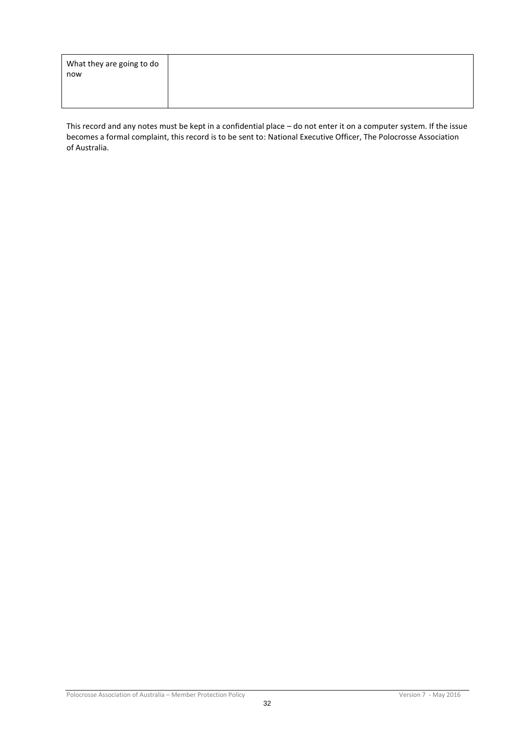| What they are going to do |  |
|---------------------------|--|
| now                       |  |
|                           |  |
|                           |  |
|                           |  |

This record and any notes must be kept in a confidential place – do not enter it on a computer system. If the issue becomes a formal complaint, this record is to be sent to: National Executive Officer, The Polocrosse Association of Australia.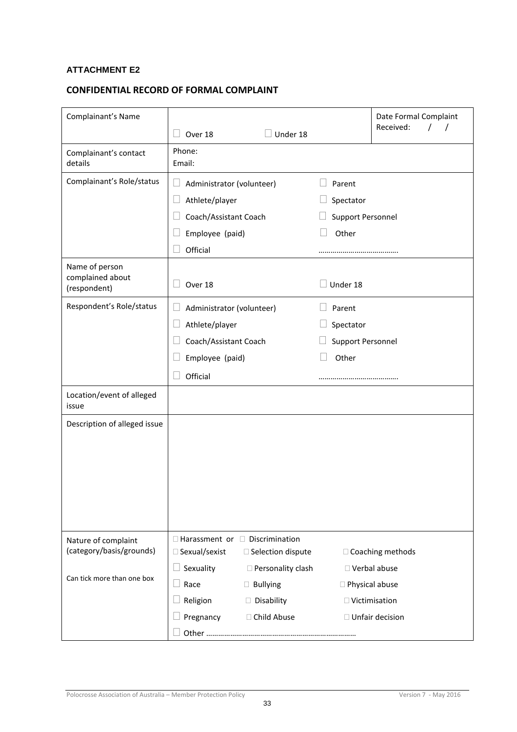# <span id="page-33-0"></span>**ATTACHMENT E2**

# <span id="page-33-1"></span>**CONFIDENTIAL RECORD OF FORMAL COMPLAINT**

| Complainant's Name                                 |                                                               |                     |                          | Date Formal Complaint<br>Received: |
|----------------------------------------------------|---------------------------------------------------------------|---------------------|--------------------------|------------------------------------|
|                                                    | Over 18                                                       | Under 18            |                          |                                    |
| Complainant's contact<br>details                   | Phone:<br>Email:                                              |                     |                          |                                    |
| Complainant's Role/status                          | Ш<br>Administrator (volunteer)                                |                     | Parent                   |                                    |
|                                                    | Athlete/player                                                |                     | Spectator                |                                    |
|                                                    | Coach/Assistant Coach                                         |                     | <b>Support Personnel</b> |                                    |
|                                                    | Employee (paid)                                               |                     | Other                    |                                    |
|                                                    | Official                                                      |                     |                          |                                    |
| Name of person<br>complained about<br>(respondent) | Over 18                                                       |                     | Under 18                 |                                    |
| Respondent's Role/status                           | Administrator (volunteer)<br>$\Box$                           |                     | Parent                   |                                    |
|                                                    | Athlete/player                                                |                     | Spectator                |                                    |
|                                                    | Coach/Assistant Coach                                         |                     | Support Personnel        |                                    |
|                                                    | Employee (paid)                                               |                     | Other                    |                                    |
|                                                    | Official                                                      |                     |                          |                                    |
| Location/event of alleged<br>issue                 |                                                               |                     |                          |                                    |
| Description of alleged issue                       |                                                               |                     |                          |                                    |
| Nature of complaint<br>(category/basis/grounds)    | $\Box$ Harassment or $\Box$ Discrimination<br>□ Sexual/sexist | □ Selection dispute |                          | □ Coaching methods                 |
| Can tick more than one box                         | Sexuality                                                     | □ Personality clash | □ Verbal abuse           |                                    |
|                                                    | Race                                                          | $\Box$ Bullying     | □ Physical abuse         |                                    |
|                                                    | Religion                                                      | Disability          | $\Box$ Victimisation     |                                    |
|                                                    | Pregnancy                                                     | □ Child Abuse       |                          | $\Box$ Unfair decision             |
|                                                    |                                                               |                     |                          |                                    |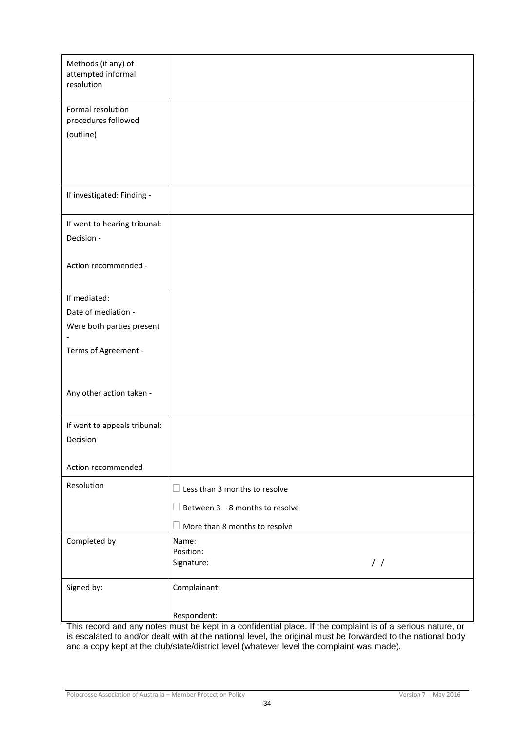| Methods (if any) of<br>attempted informal<br>resolution |                                        |
|---------------------------------------------------------|----------------------------------------|
| Formal resolution<br>procedures followed                |                                        |
| (outline)                                               |                                        |
|                                                         |                                        |
| If investigated: Finding -                              |                                        |
| If went to hearing tribunal:                            |                                        |
| Decision -                                              |                                        |
| Action recommended -                                    |                                        |
| If mediated:                                            |                                        |
| Date of mediation -                                     |                                        |
| Were both parties present                               |                                        |
| Terms of Agreement -                                    |                                        |
| Any other action taken -                                |                                        |
| If went to appeals tribunal:                            |                                        |
| Decision                                                |                                        |
| Action recommended                                      |                                        |
| Resolution                                              | $\Box$ Less than 3 months to resolve   |
|                                                         | $\Box$ Between 3 – 8 months to resolve |
|                                                         | $\Box$ More than 8 months to resolve   |
| Completed by                                            | Name:<br>Position:                     |
|                                                         | $\frac{1}{2}$<br>Signature:            |
| Signed by:                                              | Complainant:                           |
|                                                         | Respondent:                            |

This record and any notes must be kept in a confidential place. If the complaint is of a serious nature, or is escalated to and/or dealt with at the national level, the original must be forwarded to the national body and a copy kept at the club/state/district level (whatever level the complaint was made).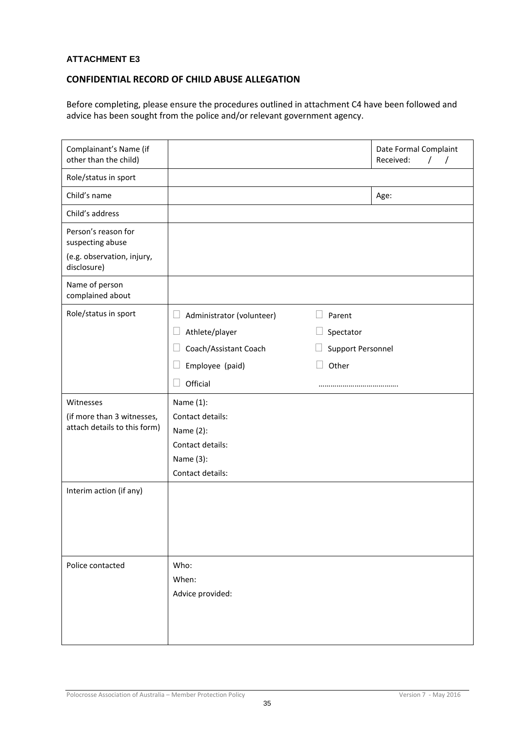### <span id="page-35-0"></span>**ATTACHMENT E3**

### <span id="page-35-1"></span>**CONFIDENTIAL RECORD OF CHILD ABUSE ALLEGATION**

Before completing, please ensure the procedures outlined in attachment C4 have been followed and advice has been sought from the police and/or relevant government agency.

| Complainant's Name (if<br>other than the child)                         |                                                                                                 |                   | Date Formal Complaint<br>Received:<br>$\prime$ |
|-------------------------------------------------------------------------|-------------------------------------------------------------------------------------------------|-------------------|------------------------------------------------|
| Role/status in sport                                                    |                                                                                                 |                   |                                                |
| Child's name                                                            |                                                                                                 |                   | Age:                                           |
| Child's address                                                         |                                                                                                 |                   |                                                |
| Person's reason for<br>suspecting abuse                                 |                                                                                                 |                   |                                                |
| (e.g. observation, injury,<br>disclosure)                               |                                                                                                 |                   |                                                |
| Name of person<br>complained about                                      |                                                                                                 |                   |                                                |
| Role/status in sport                                                    | Administrator (volunteer)<br>$\Box$                                                             | Parent<br>$\Box$  |                                                |
|                                                                         | Athlete/player                                                                                  | Spectator         |                                                |
|                                                                         | Coach/Assistant Coach                                                                           | Support Personnel |                                                |
|                                                                         | Employee (paid)                                                                                 | Other             |                                                |
|                                                                         | Official                                                                                        |                   |                                                |
| Witnesses<br>(if more than 3 witnesses,<br>attach details to this form) | Name (1):<br>Contact details:<br>Name (2):<br>Contact details:<br>Name (3):<br>Contact details: |                   |                                                |
| Interim action (if any)                                                 |                                                                                                 |                   |                                                |
| Police contacted                                                        | Who:<br>When:<br>Advice provided:                                                               |                   |                                                |